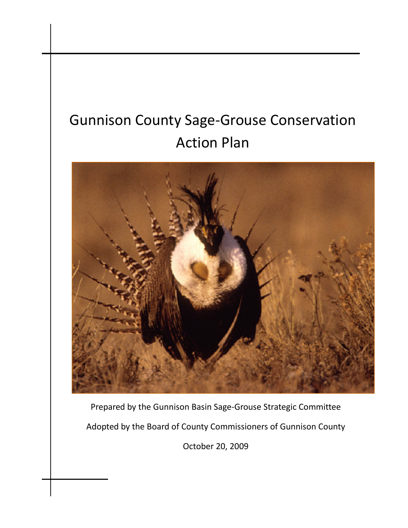# Gunnison County Sage-Grouse Conservation Action Plan



Prepared by the Gunnison Basin Sage-Grouse Strategic Committee Adopted by the Board of County Commissioners of Gunnison County

October 20, 2009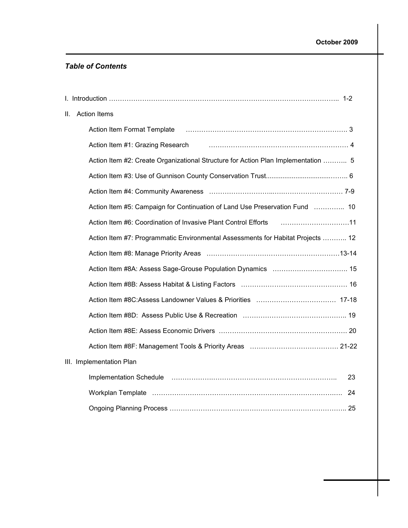#### Table of Contents

| H. | <b>Action Items</b>                                                                                                                                                                                                                 |
|----|-------------------------------------------------------------------------------------------------------------------------------------------------------------------------------------------------------------------------------------|
|    | Action Item Format Template                                                                                                                                                                                                         |
|    |                                                                                                                                                                                                                                     |
|    | Action Item #2: Create Organizational Structure for Action Plan Implementation  5                                                                                                                                                   |
|    |                                                                                                                                                                                                                                     |
|    |                                                                                                                                                                                                                                     |
|    | Action Item #5: Campaign for Continuation of Land Use Preservation Fund  10                                                                                                                                                         |
|    | Action Item #6: Coordination of Invasive Plant Control Efforts [11, 11, 11, 11]                                                                                                                                                     |
|    | Action Item #7: Programmatic Environmental Assessments for Habitat Projects  12                                                                                                                                                     |
|    |                                                                                                                                                                                                                                     |
|    |                                                                                                                                                                                                                                     |
|    |                                                                                                                                                                                                                                     |
|    |                                                                                                                                                                                                                                     |
|    |                                                                                                                                                                                                                                     |
|    |                                                                                                                                                                                                                                     |
|    |                                                                                                                                                                                                                                     |
|    | III. Implementation Plan                                                                                                                                                                                                            |
|    | Implementation Schedule (and according to the control of the control of the control of the control of the control of the control of the control of the control of the control of the control of the control of the control of<br>23 |
|    |                                                                                                                                                                                                                                     |
|    |                                                                                                                                                                                                                                     |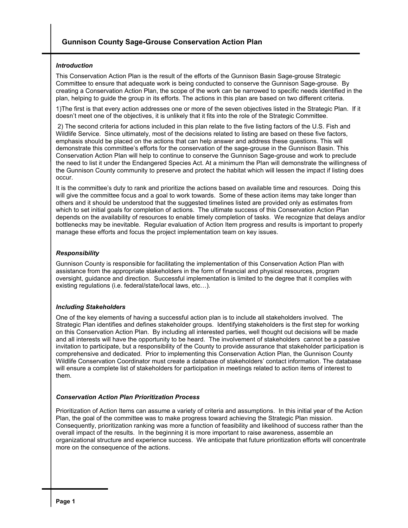#### Introduction

This Conservation Action Plan is the result of the efforts of the Gunnison Basin Sage-grouse Strategic Committee to ensure that adequate work is being conducted to conserve the Gunnison Sage-grouse. By creating a Conservation Action Plan, the scope of the work can be narrowed to specific needs identified in the plan, helping to guide the group in its efforts. The actions in this plan are based on two different criteria.

1)The first is that every action addresses one or more of the seven objectives listed in the Strategic Plan. If it doesn't meet one of the objectives, it is unlikely that it fits into the role of the Strategic Committee.

 2) The second criteria for actions included in this plan relate to the five listing factors of the U.S. Fish and Wildlife Service. Since ultimately, most of the decisions related to listing are based on these five factors, emphasis should be placed on the actions that can help answer and address these questions. This will demonstrate this committee's efforts for the conservation of the sage-grouse in the Gunnison Basin. This Conservation Action Plan will help to continue to conserve the Gunnison Sage-grouse and work to preclude the need to list it under the Endangered Species Act. At a minimum the Plan will demonstrate the willingness of the Gunnison County community to preserve and protect the habitat which will lessen the impact if listing does occur.

It is the committee's duty to rank and prioritize the actions based on available time and resources. Doing this will give the committee focus and a goal to work towards. Some of these action items may take longer than others and it should be understood that the suggested timelines listed are provided only as estimates from which to set initial goals for completion of actions. The ultimate success of this Conservation Action Plan depends on the availability of resources to enable timely completion of tasks. We recognize that delays and/or bottlenecks may be inevitable. Regular evaluation of Action Item progress and results is important to properly manage these efforts and focus the project implementation team on key issues.

#### Responsibility

Gunnison County is responsible for facilitating the implementation of this Conservation Action Plan with assistance from the appropriate stakeholders in the form of financial and physical resources, program oversight, guidance and direction. Successful implementation is limited to the degree that it complies with existing regulations (i.e. federal/state/local laws, etc…).

#### Including Stakeholders

One of the key elements of having a successful action plan is to include all stakeholders involved. The Strategic Plan identifies and defines stakeholder groups. Identifying stakeholders is the first step for working on this Conservation Action Plan. By including all interested parties, well thought out decisions will be made and all interests will have the opportunity to be heard. The involvement of stakeholders cannot be a passive invitation to participate, but a responsibility of the County to provide assurance that stakeholder participation is comprehensive and dedicated. Prior to implementing this Conservation Action Plan, the Gunnison County Wildlife Conservation Coordinator must create a database of stakeholders' contact information. The database will ensure a complete list of stakeholders for participation in meetings related to action items of interest to them.

#### Conservation Action Plan Prioritization Process

Prioritization of Action Items can assume a variety of criteria and assumptions. In this initial year of the Action Plan, the goal of the committee was to make progress toward achieving the Strategic Plan mission. Consequently, prioritization ranking was more a function of feasibility and likelihood of success rather than the overall impact of the results. In the beginning it is more important to raise awareness, assemble an organizational structure and experience success. We anticipate that future prioritization efforts will concentrate more on the consequence of the actions.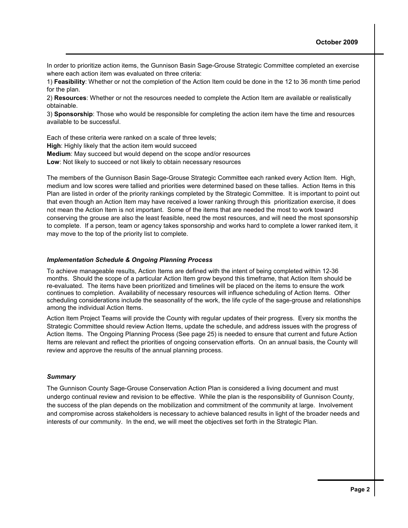In order to prioritize action items, the Gunnison Basin Sage-Grouse Strategic Committee completed an exercise where each action item was evaluated on three criteria:

1) Feasibility: Whether or not the completion of the Action Item could be done in the 12 to 36 month time period for the plan.

2) Resources: Whether or not the resources needed to complete the Action Item are available or realistically obtainable.

3) Sponsorship: Those who would be responsible for completing the action item have the time and resources available to be successful.

Each of these criteria were ranked on a scale of three levels;

High: Highly likely that the action item would succeed

Medium: May succeed but would depend on the scope and/or resources

Low: Not likely to succeed or not likely to obtain necessary resources

The members of the Gunnison Basin Sage-Grouse Strategic Committee each ranked every Action Item. High, medium and low scores were tallied and priorities were determined based on these tallies. Action Items in this Plan are listed in order of the priority rankings completed by the Strategic Committee. It is important to point out that even though an Action Item may have received a lower ranking through this prioritization exercise, it does not mean the Action Item is not important. Some of the items that are needed the most to work toward conserving the grouse are also the least feasible, need the most resources, and will need the most sponsorship to complete. If a person, team or agency takes sponsorship and works hard to complete a lower ranked item, it may move to the top of the priority list to complete.

#### Implementation Schedule & Ongoing Planning Process

To achieve manageable results, Action Items are defined with the intent of being completed within 12-36 months. Should the scope of a particular Action Item grow beyond this timeframe, that Action Item should be re-evaluated. The items have been prioritized and timelines will be placed on the items to ensure the work continues to completion. Availability of necessary resources will influence scheduling of Action Items. Other scheduling considerations include the seasonality of the work, the life cycle of the sage-grouse and relationships among the individual Action Items.

Action Item Project Teams will provide the County with regular updates of their progress. Every six months the Strategic Committee should review Action Items, update the schedule, and address issues with the progress of Action Items. The Ongoing Planning Process (See page 25) is needed to ensure that current and future Action Items are relevant and reflect the priorities of ongoing conservation efforts. On an annual basis, the County will review and approve the results of the annual planning process.

#### **Summary**

The Gunnison County Sage-Grouse Conservation Action Plan is considered a living document and must undergo continual review and revision to be effective. While the plan is the responsibility of Gunnison County, the success of the plan depends on the mobilization and commitment of the community at large. Involvement and compromise across stakeholders is necessary to achieve balanced results in light of the broader needs and interests of our community. In the end, we will meet the objectives set forth in the Strategic Plan.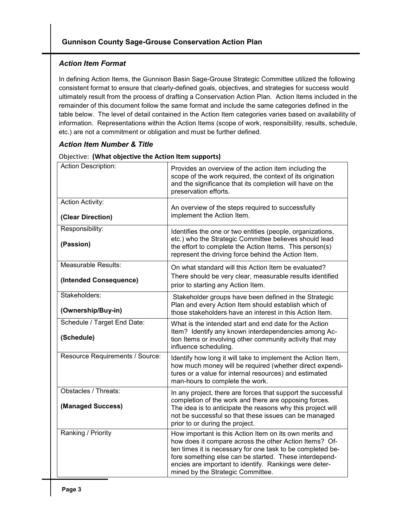#### Action Item Format

In defining Action Items, the Gunnison Basin Sage-Grouse Strategic Committee utilized the following consistent format to ensure that clearly-defined goals, objectives, and strategies for success would ultimately result from the process of drafting a Conservation Action Plan. Action Items included in the remainder of this document follow the same format and include the same categories defined in the table below. The level of detail contained in the Action Item categories varies based on availability of information. Representations within the Action Items (scope of work, responsibility, results, schedule, etc.) are not a commitment or obligation and must be further defined.

#### Action Item Number & Title

| <b>Action Description:</b>                           | Provides an overview of the action item including the<br>scope of the work required, the context of its origination<br>and the significance that its completion will have on the<br>preservation efforts.                                                                                                                                |
|------------------------------------------------------|------------------------------------------------------------------------------------------------------------------------------------------------------------------------------------------------------------------------------------------------------------------------------------------------------------------------------------------|
| <b>Action Activity:</b><br>(Clear Direction)         | An overview of the steps required to successfully<br>implement the Action Item.                                                                                                                                                                                                                                                          |
| Responsibility:<br>(Passion)                         | Identifies the one or two entities (people, organizations,<br>etc.) who the Strategic Committee believes should lead<br>the effort to complete the Action Items. This person(s)<br>represent the driving force behind the Action Item.                                                                                                   |
| <b>Measurable Results:</b><br>(Intended Consequence) | On what standard will this Action Item be evaluated?<br>There should be very clear, measurable results identified<br>prior to starting any Action Item.                                                                                                                                                                                  |
| Stakeholders:<br>(Ownership/Buy-in)                  | Stakeholder groups have been defined in the Strategic<br>Plan and every Action Item should establish which of<br>those stakeholders have an interest in this Action Item.                                                                                                                                                                |
| Schedule / Target End Date:<br>(Schedule)            | What is the intended start and end date for the Action<br>Item? Identify any known interdependencies among Ac-<br>tion Items or involving other community activity that may<br>influence scheduling.                                                                                                                                     |
| Resource Requirements / Source:                      | Identify how long it will take to implement the Action Item,<br>how much money will be required (whether direct expendi-<br>tures or a value for internal resources) and estimated<br>man-hours to complete the work.                                                                                                                    |
| Obstacles / Threats:<br>(Managed Success)            | In any project, there are forces that support the successful<br>completion of the work and there are opposing forces.<br>The idea is to anticipate the reasons why this project will<br>not be successful so that these issues can be managed<br>prior to or during the project.                                                         |
| Ranking / Priority                                   | How important is this Action Item on its own merits and<br>how does it compare across the other Action Items? Of-<br>ten times it is necessary for one task to be completed be-<br>fore something else can be started. These interdepend-<br>encies are important to identify. Rankings were deter-<br>mined by the Strategic Committee. |

#### Objective: (What objective the Action Item supports)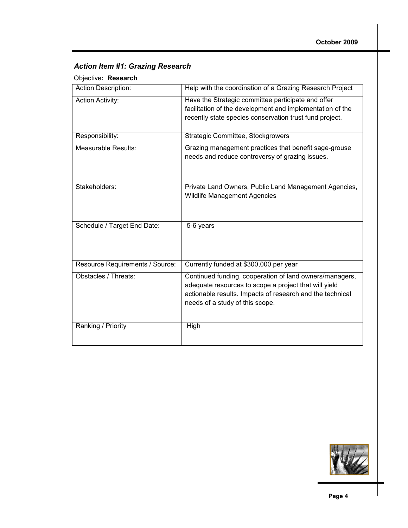#### Action Item #1: Grazing Research

#### Objective: Research

| <b>Action Description:</b>      | Help with the coordination of a Grazing Research Project                                                                                                                                                         |
|---------------------------------|------------------------------------------------------------------------------------------------------------------------------------------------------------------------------------------------------------------|
| <b>Action Activity:</b>         | Have the Strategic committee participate and offer<br>facilitation of the development and implementation of the<br>recently state species conservation trust fund project.                                       |
| Responsibility:                 | Strategic Committee, Stockgrowers                                                                                                                                                                                |
| Measurable Results:             | Grazing management practices that benefit sage-grouse<br>needs and reduce controversy of grazing issues.                                                                                                         |
| Stakeholders:                   | Private Land Owners, Public Land Management Agencies,<br><b>Wildlife Management Agencies</b>                                                                                                                     |
| Schedule / Target End Date:     | 5-6 years                                                                                                                                                                                                        |
| Resource Requirements / Source: | Currently funded at \$300,000 per year                                                                                                                                                                           |
| Obstacles / Threats:            | Continued funding, cooperation of land owners/managers,<br>adequate resources to scope a project that will yield<br>actionable results. Impacts of research and the technical<br>needs of a study of this scope. |
| Ranking / Priority              | High                                                                                                                                                                                                             |

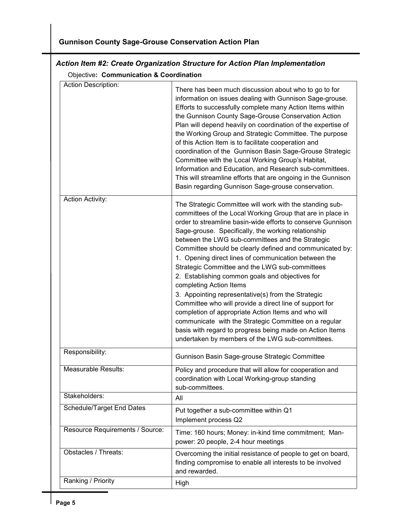### Gunnison County Sage-Grouse Conservation Action Plan

#### Action Item #2: Create Organization Structure for Action Plan Implementation

Objective: Communication & Coordination

| <b>Action Description:</b>      | There has been much discussion about who to go to for<br>information on issues dealing with Gunnison Sage-grouse.<br>Efforts to successfully complete many Action Items within<br>the Gunnison County Sage-Grouse Conservation Action<br>Plan will depend heavily on coordination of the expertise of<br>the Working Group and Strategic Committee. The purpose<br>of this Action Item is to facilitate cooperation and<br>coordination of the Gunnison Basin Sage-Grouse Strategic<br>Committee with the Local Working Group's Habitat,<br>Information and Education, and Research sub-committees.<br>This will streamline efforts that are ongoing in the Gunnison<br>Basin regarding Gunnison Sage-grouse conservation.                                                                                                                                                                            |
|---------------------------------|-------------------------------------------------------------------------------------------------------------------------------------------------------------------------------------------------------------------------------------------------------------------------------------------------------------------------------------------------------------------------------------------------------------------------------------------------------------------------------------------------------------------------------------------------------------------------------------------------------------------------------------------------------------------------------------------------------------------------------------------------------------------------------------------------------------------------------------------------------------------------------------------------------|
| <b>Action Activity:</b>         | The Strategic Committee will work with the standing sub-<br>committees of the Local Working Group that are in place in<br>order to streamline basin-wide efforts to conserve Gunnison<br>Sage-grouse. Specifically, the working relationship<br>between the LWG sub-committees and the Strategic<br>Committee should be clearly defined and communicated by:<br>1. Opening direct lines of communication between the<br>Strategic Committee and the LWG sub-committees<br>2. Establishing common goals and objectives for<br>completing Action Items<br>3. Appointing representative(s) from the Strategic<br>Committee who will provide a direct line of support for<br>completion of appropriate Action Items and who will<br>communicate with the Strategic Committee on a regular<br>basis with regard to progress being made on Action Items<br>undertaken by members of the LWG sub-committees. |
| Responsibility:                 | Gunnison Basin Sage-grouse Strategic Committee                                                                                                                                                                                                                                                                                                                                                                                                                                                                                                                                                                                                                                                                                                                                                                                                                                                        |
| Measurable Results:             | Policy and procedure that will allow for cooperation and<br>coordination with Local Working-group standing<br>sub-committees.                                                                                                                                                                                                                                                                                                                                                                                                                                                                                                                                                                                                                                                                                                                                                                         |
| Stakeholders:                   | All                                                                                                                                                                                                                                                                                                                                                                                                                                                                                                                                                                                                                                                                                                                                                                                                                                                                                                   |
| Schedule/Target End Dates       | Put together a sub-committee within Q1<br>Implement process Q2                                                                                                                                                                                                                                                                                                                                                                                                                                                                                                                                                                                                                                                                                                                                                                                                                                        |
| Resource Requirements / Source: | Time: 160 hours; Money: in-kind time commitment; Man-<br>power: 20 people, 2-4 hour meetings                                                                                                                                                                                                                                                                                                                                                                                                                                                                                                                                                                                                                                                                                                                                                                                                          |
| Obstacles / Threats:            | Overcoming the initial resistance of people to get on board,<br>finding compromise to enable all interests to be involved<br>and rewarded.                                                                                                                                                                                                                                                                                                                                                                                                                                                                                                                                                                                                                                                                                                                                                            |
| Ranking / Priority              | High                                                                                                                                                                                                                                                                                                                                                                                                                                                                                                                                                                                                                                                                                                                                                                                                                                                                                                  |
|                                 |                                                                                                                                                                                                                                                                                                                                                                                                                                                                                                                                                                                                                                                                                                                                                                                                                                                                                                       |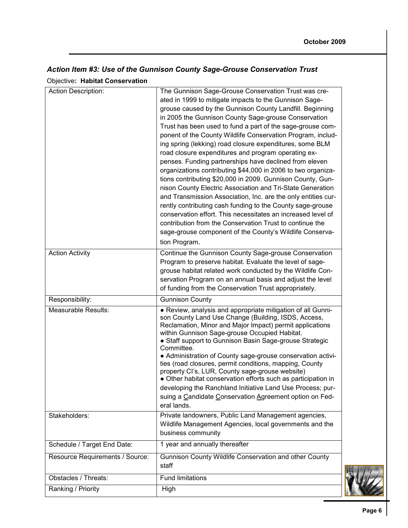# Action Item #3: Use of the Gunnison County Sage-Grouse Conservation Trust

Objective: Habitat Conservation

| Action Description:             | The Gunnison Sage-Grouse Conservation Trust was cre-<br>ated in 1999 to mitigate impacts to the Gunnison Sage-<br>grouse caused by the Gunnison County Landfill. Beginning<br>in 2005 the Gunnison County Sage-grouse Conservation<br>Trust has been used to fund a part of the sage-grouse com-<br>ponent of the County Wildlife Conservation Program, includ-<br>ing spring (lekking) road closure expenditures, some BLM<br>road closure expenditures and program operating ex-<br>penses. Funding partnerships have declined from eleven<br>organizations contributing \$44,000 in 2006 to two organiza-<br>tions contributing \$20,000 in 2009. Gunnison County, Gun-<br>nison County Electric Association and Tri-State Generation<br>and Transmission Association, Inc. are the only entities cur-<br>rently contributing cash funding to the County sage-grouse<br>conservation effort. This necessitates an increased level of<br>contribution from the Conservation Trust to continue the<br>sage-grouse component of the County's Wildlife Conserva-<br>tion Program. |
|---------------------------------|----------------------------------------------------------------------------------------------------------------------------------------------------------------------------------------------------------------------------------------------------------------------------------------------------------------------------------------------------------------------------------------------------------------------------------------------------------------------------------------------------------------------------------------------------------------------------------------------------------------------------------------------------------------------------------------------------------------------------------------------------------------------------------------------------------------------------------------------------------------------------------------------------------------------------------------------------------------------------------------------------------------------------------------------------------------------------------|
| <b>Action Activity</b>          | Continue the Gunnison County Sage-grouse Conservation<br>Program to preserve habitat. Evaluate the level of sage-<br>grouse habitat related work conducted by the Wildlife Con-<br>servation Program on an annual basis and adjust the level<br>of funding from the Conservation Trust appropriately.                                                                                                                                                                                                                                                                                                                                                                                                                                                                                                                                                                                                                                                                                                                                                                            |
| Responsibility:                 | <b>Gunnison County</b>                                                                                                                                                                                                                                                                                                                                                                                                                                                                                                                                                                                                                                                                                                                                                                                                                                                                                                                                                                                                                                                           |
| Measurable Results:             | • Review, analysis and appropriate mitigation of all Gunni-<br>son County Land Use Change (Building, ISDS, Access,<br>Reclamation, Minor and Major Impact) permit applications<br>within Gunnison Sage-grouse Occupied Habitat.<br>• Staff support to Gunnison Basin Sage-grouse Strategic<br>Committee.<br>• Administration of County sage-grouse conservation activi-<br>ties (road closures, permit conditions, mapping, County<br>property Cl's, LUR, County sage-grouse website)<br>• Other habitat conservation efforts such as participation in<br>developing the Ranchland Initiative Land Use Process; pur-<br>suing a Candidate Conservation Agreement option on Fed-<br>eral lands.                                                                                                                                                                                                                                                                                                                                                                                   |
| Stakeholders:                   | Private landowners, Public Land Management agencies,<br>Wildlife Management Agencies, local governments and the<br>business community                                                                                                                                                                                                                                                                                                                                                                                                                                                                                                                                                                                                                                                                                                                                                                                                                                                                                                                                            |
| Schedule / Target End Date:     | 1 year and annually thereafter                                                                                                                                                                                                                                                                                                                                                                                                                                                                                                                                                                                                                                                                                                                                                                                                                                                                                                                                                                                                                                                   |
| Resource Requirements / Source: | Gunnison County Wildlife Conservation and other County<br>staff                                                                                                                                                                                                                                                                                                                                                                                                                                                                                                                                                                                                                                                                                                                                                                                                                                                                                                                                                                                                                  |
| Obstacles / Threats:            | <b>Fund limitations</b>                                                                                                                                                                                                                                                                                                                                                                                                                                                                                                                                                                                                                                                                                                                                                                                                                                                                                                                                                                                                                                                          |
| Ranking / Priority              | High                                                                                                                                                                                                                                                                                                                                                                                                                                                                                                                                                                                                                                                                                                                                                                                                                                                                                                                                                                                                                                                                             |

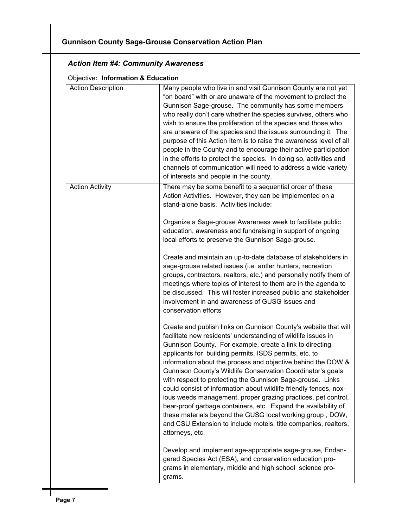#### Action Item #4: Community Awareness

#### Objective: Information & Education

| <b>Action Description</b> | Many people who live in and visit Gunnison County are not yet<br>"on board" with or are unaware of the movement to protect the<br>Gunnison Sage-grouse. The community has some members<br>who really don't care whether the species survives, others who<br>wish to ensure the proliferation of the species and those who<br>are unaware of the species and the issues surrounding it. The<br>purpose of this Action Item is to raise the awareness level of all<br>people in the County and to encourage their active participation<br>in the efforts to protect the species. In doing so, activities and<br>channels of communication will need to address a wide variety<br>of interests and people in the county.                                                                                          |
|---------------------------|----------------------------------------------------------------------------------------------------------------------------------------------------------------------------------------------------------------------------------------------------------------------------------------------------------------------------------------------------------------------------------------------------------------------------------------------------------------------------------------------------------------------------------------------------------------------------------------------------------------------------------------------------------------------------------------------------------------------------------------------------------------------------------------------------------------|
| <b>Action Activity</b>    | There may be some benefit to a sequential order of these<br>Action Activities. However, they can be implemented on a<br>stand-alone basis. Activities include:                                                                                                                                                                                                                                                                                                                                                                                                                                                                                                                                                                                                                                                 |
|                           | Organize a Sage-grouse Awareness week to facilitate public<br>education, awareness and fundraising in support of ongoing<br>local efforts to preserve the Gunnison Sage-grouse.                                                                                                                                                                                                                                                                                                                                                                                                                                                                                                                                                                                                                                |
|                           | Create and maintain an up-to-date database of stakeholders in<br>sage-grouse related issues (i.e. antler hunters, recreation<br>groups, contractors, realtors, etc.) and personally notify them of<br>meetings where topics of interest to them are in the agenda to<br>be discussed. This will foster increased public and stakeholder<br>involvement in and awareness of GUSG issues and<br>conservation efforts                                                                                                                                                                                                                                                                                                                                                                                             |
|                           | Create and publish links on Gunnison County's website that will<br>facilitate new residents' understanding of wildlife issues in<br>Gunnison County. For example, create a link to directing<br>applicants for building permits, ISDS permits, etc. to<br>information about the process and objective behind the DOW &<br>Gunnison County's Wildlife Conservation Coordinator's goals<br>with respect to protecting the Gunnison Sage-grouse. Links<br>could consist of information about wildlife friendly fences, nox-<br>ious weeds management, proper grazing practices, pet control,<br>bear-proof garbage containers, etc. Expand the availability of<br>these materials beyond the GUSG local working group, DOW,<br>and CSU Extension to include motels, title companies, realtors,<br>attorneys, etc. |
|                           | Develop and implement age-appropriate sage-grouse, Endan-<br>gered Species Act (ESA), and conservation education pro-<br>grams in elementary, middle and high school science pro-<br>grams.                                                                                                                                                                                                                                                                                                                                                                                                                                                                                                                                                                                                                    |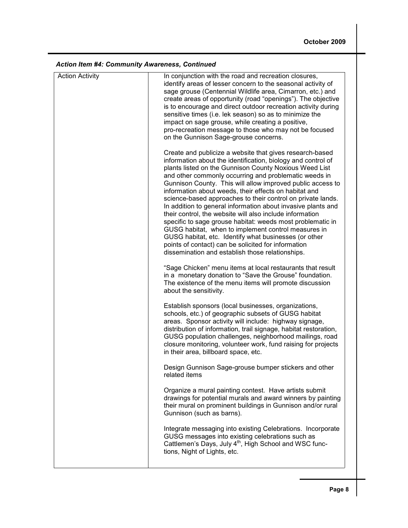|  |  |  | <b>Action Item #4: Community Awareness, Continued</b> |  |
|--|--|--|-------------------------------------------------------|--|
|--|--|--|-------------------------------------------------------|--|

| <b>Action Activity</b> | In conjunction with the road and recreation closures,<br>identify areas of lesser concern to the seasonal activity of<br>sage grouse (Centennial Wildlife area, Cimarron, etc.) and<br>create areas of opportunity (road "openings"). The objective<br>is to encourage and direct outdoor recreation activity during<br>sensitive times (i.e. lek season) so as to minimize the<br>impact on sage grouse, while creating a positive,<br>pro-recreation message to those who may not be focused<br>on the Gunnison Sage-grouse concerns.                                                                                                                                                                                                                                                                                                                |
|------------------------|--------------------------------------------------------------------------------------------------------------------------------------------------------------------------------------------------------------------------------------------------------------------------------------------------------------------------------------------------------------------------------------------------------------------------------------------------------------------------------------------------------------------------------------------------------------------------------------------------------------------------------------------------------------------------------------------------------------------------------------------------------------------------------------------------------------------------------------------------------|
|                        | Create and publicize a website that gives research-based<br>information about the identification, biology and control of<br>plants listed on the Gunnison County Noxious Weed List<br>and other commonly occurring and problematic weeds in<br>Gunnison County. This will allow improved public access to<br>information about weeds, their effects on habitat and<br>science-based approaches to their control on private lands.<br>In addition to general information about invasive plants and<br>their control, the website will also include information<br>specific to sage grouse habitat: weeds most problematic in<br>GUSG habitat, when to implement control measures in<br>GUSG habitat, etc. Identify what businesses (or other<br>points of contact) can be solicited for information<br>dissemination and establish those relationships. |
|                        | "Sage Chicken" menu items at local restaurants that result<br>in a monetary donation to "Save the Grouse" foundation.<br>The existence of the menu items will promote discussion<br>about the sensitivity.                                                                                                                                                                                                                                                                                                                                                                                                                                                                                                                                                                                                                                             |
|                        | Establish sponsors (local businesses, organizations,<br>schools, etc.) of geographic subsets of GUSG habitat<br>areas. Sponsor activity will include: highway signage,<br>distribution of information, trail signage, habitat restoration,<br>GUSG population challenges, neighborhood mailings, road<br>closure monitoring, volunteer work, fund raising for projects<br>in their area, billboard space, etc.                                                                                                                                                                                                                                                                                                                                                                                                                                         |
|                        | Design Gunnison Sage-grouse bumper stickers and other<br>related items                                                                                                                                                                                                                                                                                                                                                                                                                                                                                                                                                                                                                                                                                                                                                                                 |
|                        | Organize a mural painting contest. Have artists submit<br>drawings for potential murals and award winners by painting<br>their mural on prominent buildings in Gunnison and/or rural<br>Gunnison (such as barns).                                                                                                                                                                                                                                                                                                                                                                                                                                                                                                                                                                                                                                      |
|                        | Integrate messaging into existing Celebrations. Incorporate<br>GUSG messages into existing celebrations such as<br>Cattlemen's Days, July 4 <sup>th</sup> , High School and WSC func-<br>tions, Night of Lights, etc.                                                                                                                                                                                                                                                                                                                                                                                                                                                                                                                                                                                                                                  |
|                        |                                                                                                                                                                                                                                                                                                                                                                                                                                                                                                                                                                                                                                                                                                                                                                                                                                                        |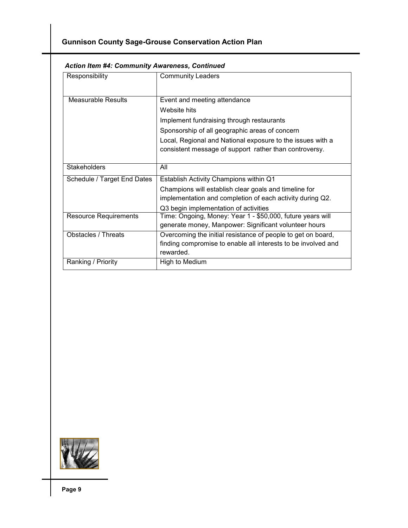| Responsibility               | <b>Community Leaders</b>                                                                                                                                                                              |
|------------------------------|-------------------------------------------------------------------------------------------------------------------------------------------------------------------------------------------------------|
| <b>Measurable Results</b>    | Event and meeting attendance<br>Website hits<br>Implement fundraising through restaurants<br>Sponsorship of all geographic areas of concern                                                           |
|                              | Local, Regional and National exposure to the issues with a<br>consistent message of support rather than controversy.                                                                                  |
| <b>Stakeholders</b>          | All                                                                                                                                                                                                   |
| Schedule / Target End Dates  | Establish Activity Champions within Q1<br>Champions will establish clear goals and timeline for<br>implementation and completion of each activity during Q2.<br>Q3 begin implementation of activities |
| <b>Resource Requirements</b> | Time: Ongoing, Money: Year 1 - \$50,000, future years will<br>generate money, Manpower: Significant volunteer hours                                                                                   |
| Obstacles / Threats          | Overcoming the initial resistance of people to get on board,<br>finding compromise to enable all interests to be involved and<br>rewarded.                                                            |
| Ranking / Priority           | High to Medium                                                                                                                                                                                        |

#### Action Item #4: Community Awareness, Continued

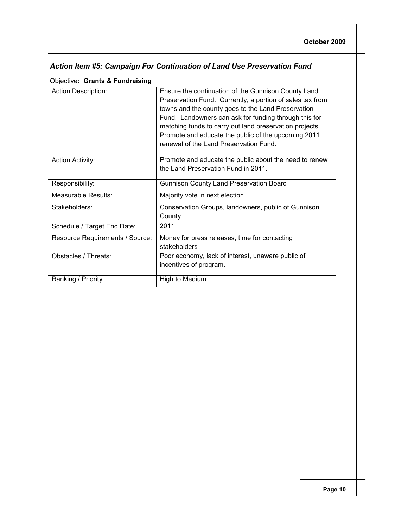#### Action Item #5: Campaign For Continuation of Land Use Preservation Fund

Objective: Grants & Fundraising

| <b>Action Description:</b>      | Ensure the continuation of the Gunnison County Land<br>Preservation Fund. Currently, a portion of sales tax from<br>towns and the county goes to the Land Preservation<br>Fund. Landowners can ask for funding through this for<br>matching funds to carry out land preservation projects.<br>Promote and educate the public of the upcoming 2011<br>renewal of the Land Preservation Fund. |
|---------------------------------|---------------------------------------------------------------------------------------------------------------------------------------------------------------------------------------------------------------------------------------------------------------------------------------------------------------------------------------------------------------------------------------------|
| <b>Action Activity:</b>         | Promote and educate the public about the need to renew<br>the Land Preservation Fund in 2011.                                                                                                                                                                                                                                                                                               |
| Responsibility:                 | <b>Gunnison County Land Preservation Board</b>                                                                                                                                                                                                                                                                                                                                              |
| Measurable Results:             | Majority vote in next election                                                                                                                                                                                                                                                                                                                                                              |
| Stakeholders:                   | Conservation Groups, landowners, public of Gunnison<br>County                                                                                                                                                                                                                                                                                                                               |
| Schedule / Target End Date:     | 2011                                                                                                                                                                                                                                                                                                                                                                                        |
| Resource Requirements / Source: | Money for press releases, time for contacting<br>stakeholders                                                                                                                                                                                                                                                                                                                               |
| Obstacles / Threats:            | Poor economy, lack of interest, unaware public of<br>incentives of program.                                                                                                                                                                                                                                                                                                                 |
| Ranking / Priority              | High to Medium                                                                                                                                                                                                                                                                                                                                                                              |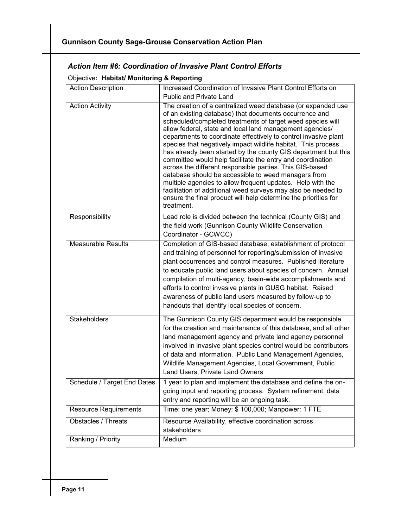#### Action Item #6: Coordination of Invasive Plant Control Efforts

#### Objective: Habitat/ Monitoring & Reporting

| <b>Action Description</b>    | Increased Coordination of Invasive Plant Control Efforts on<br>Public and Private Land                                                                                                                                                                                                                                                                                                                                                                                                                                                                                                                                                                                                                                                                                                                                                                  |  |  |
|------------------------------|---------------------------------------------------------------------------------------------------------------------------------------------------------------------------------------------------------------------------------------------------------------------------------------------------------------------------------------------------------------------------------------------------------------------------------------------------------------------------------------------------------------------------------------------------------------------------------------------------------------------------------------------------------------------------------------------------------------------------------------------------------------------------------------------------------------------------------------------------------|--|--|
| <b>Action Activity</b>       | The creation of a centralized weed database (or expanded use<br>of an existing database) that documents occurrence and<br>scheduled/completed treatments of target weed species will<br>allow federal, state and local land management agencies/<br>departments to coordinate effectively to control invasive plant<br>species that negatively impact wildlife habitat. This process<br>has already been started by the county GIS department but this<br>committee would help facilitate the entry and coordination<br>across the different responsible parties. This GIS-based<br>database should be accessible to weed managers from<br>multiple agencies to allow frequent updates. Help with the<br>facilitation of additional weed surveys may also be needed to<br>ensure the final product will help determine the priorities for<br>treatment. |  |  |
| Responsibility               | Lead role is divided between the technical (County GIS) and<br>the field work (Gunnison County Wildlife Conservation<br>Coordinator - GCWCC)                                                                                                                                                                                                                                                                                                                                                                                                                                                                                                                                                                                                                                                                                                            |  |  |
| <b>Measurable Results</b>    | Completion of GIS-based database, establishment of protocol<br>and training of personnel for reporting/submission of invasive<br>plant occurrences and control measures. Published literature<br>to educate public land users about species of concern. Annual<br>compilation of multi-agency, basin-wide accomplishments and<br>efforts to control invasive plants in GUSG habitat. Raised<br>awareness of public land users measured by follow-up to<br>handouts that identify local species of concern.                                                                                                                                                                                                                                                                                                                                              |  |  |
| <b>Stakeholders</b>          | The Gunnison County GIS department would be responsible<br>for the creation and maintenance of this database, and all other<br>land management agency and private land agency personnel<br>involved in invasive plant species control would be contributors<br>of data and information. Public Land Management Agencies,<br>Wildlife Management Agencies, Local Government, Public<br>Land Users, Private Land Owners                                                                                                                                                                                                                                                                                                                                                                                                                                   |  |  |
| Schedule / Target End Dates  | 1 year to plan and implement the database and define the on-<br>going input and reporting process. System refinement, data<br>entry and reporting will be an ongoing task.                                                                                                                                                                                                                                                                                                                                                                                                                                                                                                                                                                                                                                                                              |  |  |
| <b>Resource Requirements</b> | Time: one year; Money: \$ 100,000; Manpower: 1 FTE                                                                                                                                                                                                                                                                                                                                                                                                                                                                                                                                                                                                                                                                                                                                                                                                      |  |  |
| <b>Obstacles / Threats</b>   | Resource Availability, effective coordination across<br>stakeholders                                                                                                                                                                                                                                                                                                                                                                                                                                                                                                                                                                                                                                                                                                                                                                                    |  |  |
| Ranking / Priority           | Medium                                                                                                                                                                                                                                                                                                                                                                                                                                                                                                                                                                                                                                                                                                                                                                                                                                                  |  |  |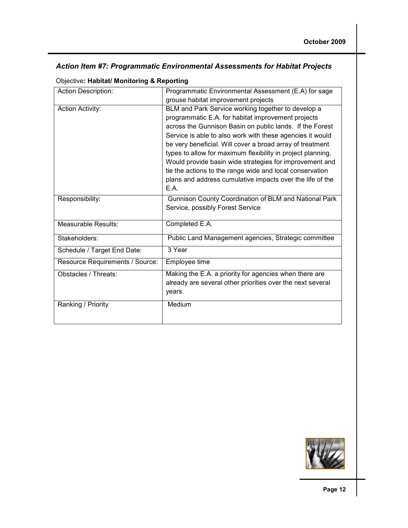| Action Item #7: Programmatic Environmental Assessments for Habitat Projects |  |  |
|-----------------------------------------------------------------------------|--|--|
|                                                                             |  |  |

|  |  | <b>Objective: Habitat/ Monitoring &amp; Reporting</b> |  |  |
|--|--|-------------------------------------------------------|--|--|
|--|--|-------------------------------------------------------|--|--|

| <b>Action Description:</b>      | Programmatic Environmental Assessment (E.A) for sage              |
|---------------------------------|-------------------------------------------------------------------|
|                                 | grouse habitat improvement projects                               |
| <b>Action Activity:</b>         | BLM and Park Service working together to develop a                |
|                                 | programmatic E.A. for habitat improvement projects                |
|                                 | across the Gunnison Basin on public lands. If the Forest          |
|                                 | Service is able to also work with these agencies it would         |
|                                 | be very beneficial. Will cover a broad array of treatment         |
|                                 | types to allow for maximum flexibility in project planning.       |
|                                 | Would provide basin wide strategies for improvement and           |
|                                 | tie the actions to the range wide and local conservation          |
|                                 | plans and address cumulative impacts over the life of the<br>E.A. |
|                                 |                                                                   |
| Responsibility:                 | Gunnison County Coordination of BLM and National Park             |
|                                 | Service, possibly Forest Service                                  |
| Measurable Results:             | Completed E.A.                                                    |
|                                 |                                                                   |
| Stakeholders:                   | Public Land Management agencies, Strategic committee              |
| Schedule / Target End Date:     | 3 Year                                                            |
| Resource Requirements / Source: | Employee time                                                     |
| Obstacles / Threats:            | Making the E.A. a priority for agencies when there are            |
|                                 | already are several other priorities over the next several        |
|                                 | years.                                                            |
| Ranking / Priority              | Medium                                                            |
|                                 |                                                                   |
|                                 |                                                                   |

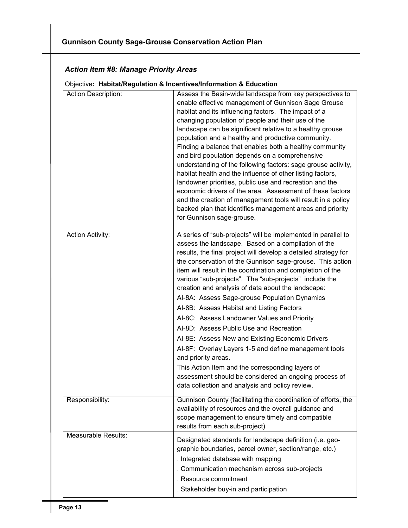#### Action Item #8: Manage Priority Areas

| <b>Action Description:</b> | Assess the Basin-wide landscape from key perspectives to<br>enable effective management of Gunnison Sage Grouse<br>habitat and its influencing factors. The impact of a<br>changing population of people and their use of the<br>landscape can be significant relative to a healthy grouse<br>population and a healthy and productive community.<br>Finding a balance that enables both a healthy community<br>and bird population depends on a comprehensive<br>understanding of the following factors: sage grouse activity,<br>habitat health and the influence of other listing factors,<br>landowner priorities, public use and recreation and the<br>economic drivers of the area. Assessment of these factors<br>and the creation of management tools will result in a policy<br>backed plan that identifies management areas and priority<br>for Gunnison sage-grouse.                                                |
|----------------------------|-------------------------------------------------------------------------------------------------------------------------------------------------------------------------------------------------------------------------------------------------------------------------------------------------------------------------------------------------------------------------------------------------------------------------------------------------------------------------------------------------------------------------------------------------------------------------------------------------------------------------------------------------------------------------------------------------------------------------------------------------------------------------------------------------------------------------------------------------------------------------------------------------------------------------------|
| <b>Action Activity:</b>    | A series of "sub-projects" will be implemented in parallel to<br>assess the landscape. Based on a compilation of the<br>results, the final project will develop a detailed strategy for<br>the conservation of the Gunnison sage-grouse. This action<br>item will result in the coordination and completion of the<br>various "sub-projects". The "sub-projects" include the<br>creation and analysis of data about the landscape:<br>Al-8A: Assess Sage-grouse Population Dynamics<br>Al-8B: Assess Habitat and Listing Factors<br>Al-8C: Assess Landowner Values and Priority<br>Al-8D: Assess Public Use and Recreation<br>Al-8E: Assess New and Existing Economic Drivers<br>Al-8F: Overlay Layers 1-5 and define management tools<br>and priority areas.<br>This Action Item and the corresponding layers of<br>assessment should be considered an ongoing process of<br>data collection and analysis and policy review. |
| Responsibility:            | Gunnison County (facilitating the coordination of efforts, the<br>availability of resources and the overall guidance and<br>scope management to ensure timely and compatible<br>results from each sub-project)                                                                                                                                                                                                                                                                                                                                                                                                                                                                                                                                                                                                                                                                                                                |
| Measurable Results:        | Designated standards for landscape definition (i.e. geo-<br>graphic boundaries, parcel owner, section/range, etc.)<br>. Integrated database with mapping<br>. Communication mechanism across sub-projects<br>. Resource commitment<br>. Stakeholder buy-in and participation                                                                                                                                                                                                                                                                                                                                                                                                                                                                                                                                                                                                                                                  |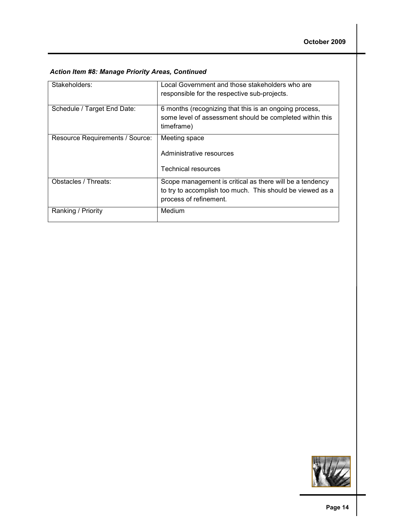|  |  |  | <b>Action Item #8: Manage Priority Areas, Continued</b> |
|--|--|--|---------------------------------------------------------|
|  |  |  |                                                         |

| Stakeholders:                   | Local Government and those stakeholders who are<br>responsible for the respective sub-projects.                                                 |
|---------------------------------|-------------------------------------------------------------------------------------------------------------------------------------------------|
| Schedule / Target End Date:     | 6 months (recognizing that this is an ongoing process,<br>some level of assessment should be completed within this<br>timeframe)                |
| Resource Requirements / Source: | Meeting space<br>Administrative resources<br>Technical resources                                                                                |
| Obstacles / Threats:            | Scope management is critical as there will be a tendency<br>to try to accomplish too much. This should be viewed as a<br>process of refinement. |
| Ranking / Priority              | Medium                                                                                                                                          |

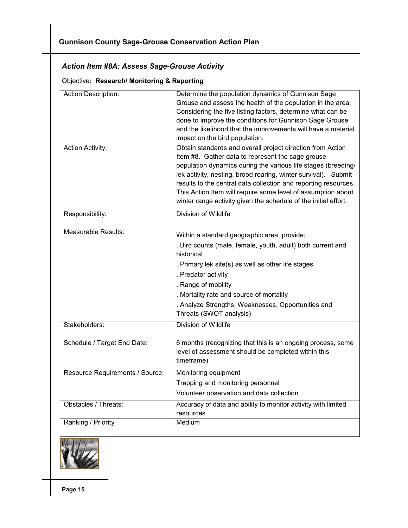#### Action Item #8A: Assess Sage-Grouse Activity

#### Objective: Research/ Monitoring & Reporting

| <b>Action Description:</b>      | Determine the population dynamics of Gunnison Sage<br>Grouse and assess the health of the population in the area.<br>Considering the five listing factors, determine what can be<br>done to improve the conditions for Gunnison Sage Grouse<br>and the likelihood that the improvements will have a material<br>impact on the bird population.                                                                                                           |
|---------------------------------|----------------------------------------------------------------------------------------------------------------------------------------------------------------------------------------------------------------------------------------------------------------------------------------------------------------------------------------------------------------------------------------------------------------------------------------------------------|
| <b>Action Activity:</b>         | Obtain standards and overall project direction from Action<br>Item #8. Gather data to represent the sage grouse<br>population dynamics during the various life stages (breeding/<br>lek activity, nesting, brood rearing, winter survival). Submit<br>results to the central data collection and reporting resources.<br>This Action Item will require some level of assumption about<br>winter range activity given the schedule of the initial effort. |
| Responsibility:                 | Division of Wildlife                                                                                                                                                                                                                                                                                                                                                                                                                                     |
| <b>Measurable Results:</b>      | Within a standard geographic area, provide:<br>. Bird counts (male, female, youth, adult) both current and<br>historical<br>. Primary lek site(s) as well as other life stages<br>. Predator activity<br>. Range of mobility<br>. Mortality rate and source of mortality<br>. Analyze Strengths, Weaknesses, Opportunities and<br>Threats (SWOT analysis)                                                                                                |
| Stakeholders:                   | Division of Wildlife                                                                                                                                                                                                                                                                                                                                                                                                                                     |
| Schedule / Target End Date:     | 6 months (recognizing that this is an ongoing process, some<br>level of assessment should be completed within this<br>timeframe)                                                                                                                                                                                                                                                                                                                         |
| Resource Requirements / Source: | Monitoring equipment<br>Trapping and monitoring personnel<br>Volunteer observation and data collection                                                                                                                                                                                                                                                                                                                                                   |
| Obstacles / Threats:            | Accuracy of data and ability to monitor activity with limited<br>resources.                                                                                                                                                                                                                                                                                                                                                                              |
| Ranking / Priority              | Medium                                                                                                                                                                                                                                                                                                                                                                                                                                                   |

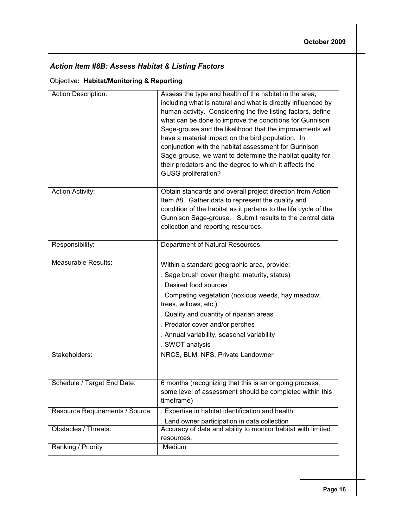#### Action Item #8B: Assess Habitat & Listing Factors

#### Objective: Habitat/Monitoring & Reporting

| Action Description:             | Assess the type and health of the habitat in the area,<br>including what is natural and what is directly influenced by<br>human activity. Considering the five listing factors, define<br>what can be done to improve the conditions for Gunnison<br>Sage-grouse and the likelihood that the improvements will<br>have a material impact on the bird population. In<br>conjunction with the habitat assessment for Gunnison<br>Sage-grouse, we want to determine the habitat quality for<br>their predators and the degree to which it affects the<br><b>GUSG</b> proliferation? |
|---------------------------------|----------------------------------------------------------------------------------------------------------------------------------------------------------------------------------------------------------------------------------------------------------------------------------------------------------------------------------------------------------------------------------------------------------------------------------------------------------------------------------------------------------------------------------------------------------------------------------|
| <b>Action Activity:</b>         | Obtain standards and overall project direction from Action<br>Item #8. Gather data to represent the quality and<br>condition of the habitat as it pertains to the life cycle of the<br>Gunnison Sage-grouse. Submit results to the central data<br>collection and reporting resources.                                                                                                                                                                                                                                                                                           |
| Responsibility:                 | Department of Natural Resources                                                                                                                                                                                                                                                                                                                                                                                                                                                                                                                                                  |
| <b>Measurable Results:</b>      | Within a standard geographic area, provide:<br>. Sage brush cover (height, maturity, status)<br>. Desired food sources<br>. Competing vegetation (noxious weeds, hay meadow,<br>trees, willows, etc.)<br>. Quality and quantity of riparian areas<br>. Predator cover and/or perches<br>. Annual variability, seasonal variability<br>. SWOT analysis                                                                                                                                                                                                                            |
| Stakeholders:                   | NRCS, BLM, NFS, Private Landowner                                                                                                                                                                                                                                                                                                                                                                                                                                                                                                                                                |
| Schedule / Target End Date:     | 6 months (recognizing that this is an ongoing process,<br>some level of assessment should be completed within this<br>timeframe)                                                                                                                                                                                                                                                                                                                                                                                                                                                 |
| Resource Requirements / Source: | . Expertise in habitat identification and health<br>. Land owner participation in data collection                                                                                                                                                                                                                                                                                                                                                                                                                                                                                |
| Obstacles / Threats:            | Accuracy of data and ability to monitor habitat with limited<br>resources.                                                                                                                                                                                                                                                                                                                                                                                                                                                                                                       |
| Ranking / Priority              | Medium                                                                                                                                                                                                                                                                                                                                                                                                                                                                                                                                                                           |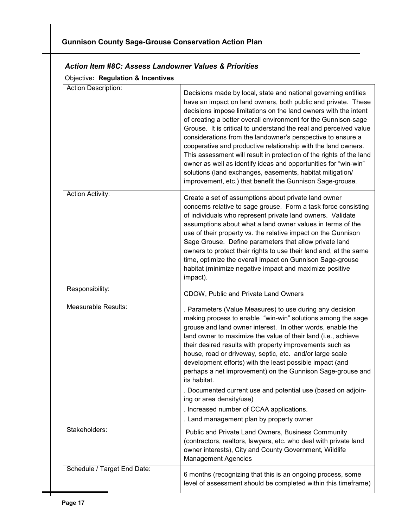| Action Description:     | Decisions made by local, state and national governing entities<br>have an impact on land owners, both public and private. These<br>decisions impose limitations on the land owners with the intent<br>of creating a better overall environment for the Gunnison-sage<br>Grouse. It is critical to understand the real and perceived value<br>considerations from the landowner's perspective to ensure a<br>cooperative and productive relationship with the land owners.<br>This assessment will result in protection of the rights of the land<br>owner as well as identify ideas and opportunities for "win-win"<br>solutions (land exchanges, easements, habitat mitigation/<br>improvement, etc.) that benefit the Gunnison Sage-grouse. |
|-------------------------|-----------------------------------------------------------------------------------------------------------------------------------------------------------------------------------------------------------------------------------------------------------------------------------------------------------------------------------------------------------------------------------------------------------------------------------------------------------------------------------------------------------------------------------------------------------------------------------------------------------------------------------------------------------------------------------------------------------------------------------------------|
| <b>Action Activity:</b> | Create a set of assumptions about private land owner<br>concerns relative to sage grouse. Form a task force consisting<br>of individuals who represent private land owners. Validate<br>assumptions about what a land owner values in terms of the<br>use of their property vs. the relative impact on the Gunnison<br>Sage Grouse. Define parameters that allow private land<br>owners to protect their rights to use their land and, at the same<br>time, optimize the overall impact on Gunnison Sage-grouse<br>habitat (minimize negative impact and maximize positive<br>impact).                                                                                                                                                        |
| Responsibility:         | CDOW, Public and Private Land Owners                                                                                                                                                                                                                                                                                                                                                                                                                                                                                                                                                                                                                                                                                                          |
|                         |                                                                                                                                                                                                                                                                                                                                                                                                                                                                                                                                                                                                                                                                                                                                               |
| Measurable Results:     | . Parameters (Value Measures) to use during any decision<br>making process to enable "win-win" solutions among the sage<br>grouse and land owner interest. In other words, enable the<br>land owner to maximize the value of their land (i.e., achieve<br>their desired results with property improvements such as<br>house, road or driveway, septic, etc. and/or large scale<br>development efforts) with the least possible impact (and<br>perhaps a net improvement) on the Gunnison Sage-grouse and<br>its habitat.                                                                                                                                                                                                                      |
|                         | . Documented current use and potential use (based on adjoin-<br>ing or area density/use)                                                                                                                                                                                                                                                                                                                                                                                                                                                                                                                                                                                                                                                      |
|                         | . Increased number of CCAA applications.<br>. Land management plan by property owner                                                                                                                                                                                                                                                                                                                                                                                                                                                                                                                                                                                                                                                          |
| Stakeholders:           | Public and Private Land Owners, Business Community<br>(contractors, realtors, lawyers, etc. who deal with private land<br>owner interests), City and County Government, Wildlife<br><b>Management Agencies</b>                                                                                                                                                                                                                                                                                                                                                                                                                                                                                                                                |

#### Action Item #8C: Assess Landowner Values & Priorities

Objective: Regulation & Incentives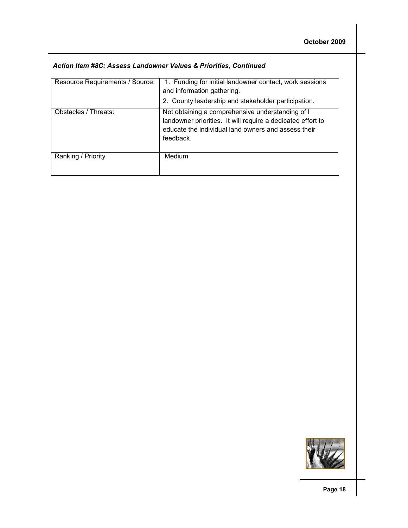| Resource Requirements / Source: | 1. Funding for initial landowner contact, work sessions<br>and information gathering.<br>2. County leadership and stakeholder participation.                                        |
|---------------------------------|-------------------------------------------------------------------------------------------------------------------------------------------------------------------------------------|
| Obstacles / Threats:            | Not obtaining a comprehensive understanding of I<br>landowner priorities. It will require a dedicated effort to<br>educate the individual land owners and assess their<br>feedback. |
| Ranking / Priority              | <b>Medium</b>                                                                                                                                                                       |

#### Action Item #8C: Assess Landowner Values & Priorities, Continued

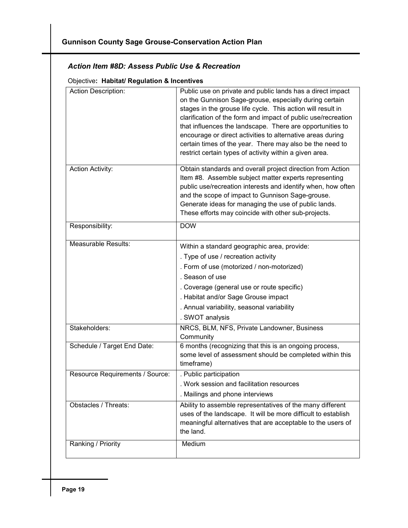#### Action Item #8D: Assess Public Use & Recreation

#### Objective: Habitat/ Regulation & Incentives

| <b>Action Description:</b>      | Public use on private and public lands has a direct impact<br>on the Gunnison Sage-grouse, especially during certain<br>stages in the grouse life cycle. This action will result in<br>clarification of the form and impact of public use/recreation<br>that influences the landscape. There are opportunities to<br>encourage or direct activities to alternative areas during<br>certain times of the year. There may also be the need to<br>restrict certain types of activity within a given area. |
|---------------------------------|--------------------------------------------------------------------------------------------------------------------------------------------------------------------------------------------------------------------------------------------------------------------------------------------------------------------------------------------------------------------------------------------------------------------------------------------------------------------------------------------------------|
| <b>Action Activity:</b>         | Obtain standards and overall project direction from Action<br>Item #8. Assemble subject matter experts representing<br>public use/recreation interests and identify when, how often<br>and the scope of impact to Gunnison Sage-grouse.<br>Generate ideas for managing the use of public lands.<br>These efforts may coincide with other sub-projects.                                                                                                                                                 |
| Responsibility:                 | <b>DOW</b>                                                                                                                                                                                                                                                                                                                                                                                                                                                                                             |
| Measurable Results:             | Within a standard geographic area, provide:<br>. Type of use / recreation activity<br>. Form of use (motorized / non-motorized)<br>. Season of use<br>. Coverage (general use or route specific)<br>. Habitat and/or Sage Grouse impact<br>. Annual variability, seasonal variability<br>. SWOT analysis                                                                                                                                                                                               |
| Stakeholders:                   | NRCS, BLM, NFS, Private Landowner, Business<br>Community                                                                                                                                                                                                                                                                                                                                                                                                                                               |
| Schedule / Target End Date:     | 6 months (recognizing that this is an ongoing process,<br>some level of assessment should be completed within this<br>timeframe)                                                                                                                                                                                                                                                                                                                                                                       |
| Resource Requirements / Source: | . Public participation<br>. Work session and facilitation resources<br>. Mailings and phone interviews                                                                                                                                                                                                                                                                                                                                                                                                 |
| Obstacles / Threats:            | Ability to assemble representatives of the many different<br>uses of the landscape. It will be more difficult to establish<br>meaningful alternatives that are acceptable to the users of<br>the land.                                                                                                                                                                                                                                                                                                 |
| Ranking / Priority              | Medium                                                                                                                                                                                                                                                                                                                                                                                                                                                                                                 |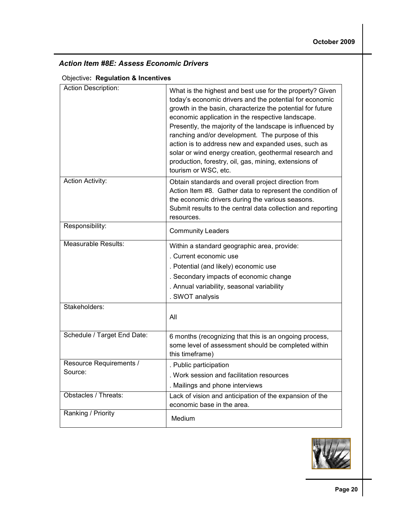#### Action Item #8E: Assess Economic Drivers

#### Objective: Regulation & Incentives

| Action Description:                | What is the highest and best use for the property? Given<br>today's economic drivers and the potential for economic<br>growth in the basin, characterize the potential for future<br>economic application in the respective landscape.<br>Presently, the majority of the landscape is influenced by<br>ranching and/or development. The purpose of this<br>action is to address new and expanded uses, such as<br>solar or wind energy creation, geothermal research and<br>production, forestry, oil, gas, mining, extensions of<br>tourism or WSC, etc. |
|------------------------------------|-----------------------------------------------------------------------------------------------------------------------------------------------------------------------------------------------------------------------------------------------------------------------------------------------------------------------------------------------------------------------------------------------------------------------------------------------------------------------------------------------------------------------------------------------------------|
| <b>Action Activity:</b>            | Obtain standards and overall project direction from<br>Action Item #8. Gather data to represent the condition of<br>the economic drivers during the various seasons.<br>Submit results to the central data collection and reporting<br>resources.                                                                                                                                                                                                                                                                                                         |
| Responsibility:                    | <b>Community Leaders</b>                                                                                                                                                                                                                                                                                                                                                                                                                                                                                                                                  |
| <b>Measurable Results:</b>         | Within a standard geographic area, provide:<br>. Current economic use<br>. Potential (and likely) economic use<br>. Secondary impacts of economic change<br>. Annual variability, seasonal variability<br>. SWOT analysis                                                                                                                                                                                                                                                                                                                                 |
| Stakeholders:                      | All                                                                                                                                                                                                                                                                                                                                                                                                                                                                                                                                                       |
| Schedule / Target End Date:        | 6 months (recognizing that this is an ongoing process,<br>some level of assessment should be completed within<br>this timeframe)                                                                                                                                                                                                                                                                                                                                                                                                                          |
| Resource Requirements /<br>Source: | . Public participation<br>. Work session and facilitation resources<br>. Mailings and phone interviews                                                                                                                                                                                                                                                                                                                                                                                                                                                    |
| Obstacles / Threats:               | Lack of vision and anticipation of the expansion of the<br>economic base in the area.                                                                                                                                                                                                                                                                                                                                                                                                                                                                     |
| Ranking / Priority                 | Medium                                                                                                                                                                                                                                                                                                                                                                                                                                                                                                                                                    |

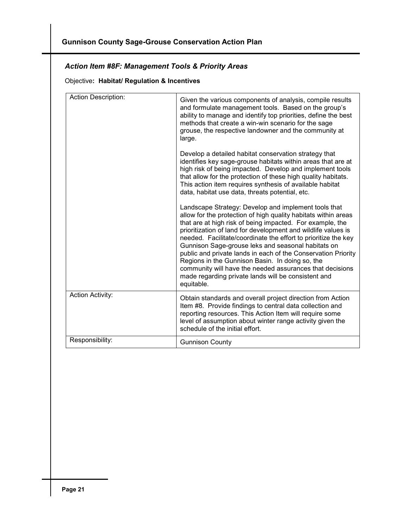#### Action Item #8F: Management Tools & Priority Areas

Objective: Habitat/ Regulation & Incentives

| <b>Action Description:</b> | Given the various components of analysis, compile results<br>and formulate management tools. Based on the group's<br>ability to manage and identify top priorities, define the best                                                                                                                                                                                                                                                                                                                                                                                                                                               |
|----------------------------|-----------------------------------------------------------------------------------------------------------------------------------------------------------------------------------------------------------------------------------------------------------------------------------------------------------------------------------------------------------------------------------------------------------------------------------------------------------------------------------------------------------------------------------------------------------------------------------------------------------------------------------|
|                            | methods that create a win-win scenario for the sage<br>grouse, the respective landowner and the community at<br>large.                                                                                                                                                                                                                                                                                                                                                                                                                                                                                                            |
|                            | Develop a detailed habitat conservation strategy that<br>identifies key sage-grouse habitats within areas that are at<br>high risk of being impacted. Develop and implement tools<br>that allow for the protection of these high quality habitats.<br>This action item requires synthesis of available habitat<br>data, habitat use data, threats potential, etc.                                                                                                                                                                                                                                                                 |
|                            | Landscape Strategy: Develop and implement tools that<br>allow for the protection of high quality habitats within areas<br>that are at high risk of being impacted. For example, the<br>prioritization of land for development and wildlife values is<br>needed. Facilitate/coordinate the effort to prioritize the key<br>Gunnison Sage-grouse leks and seasonal habitats on<br>public and private lands in each of the Conservation Priority<br>Regions in the Gunnison Basin. In doing so, the<br>community will have the needed assurances that decisions<br>made regarding private lands will be consistent and<br>equitable. |
| <b>Action Activity:</b>    | Obtain standards and overall project direction from Action<br>Item #8. Provide findings to central data collection and<br>reporting resources. This Action Item will require some<br>level of assumption about winter range activity given the<br>schedule of the initial effort.                                                                                                                                                                                                                                                                                                                                                 |
| Responsibility:            | <b>Gunnison County</b>                                                                                                                                                                                                                                                                                                                                                                                                                                                                                                                                                                                                            |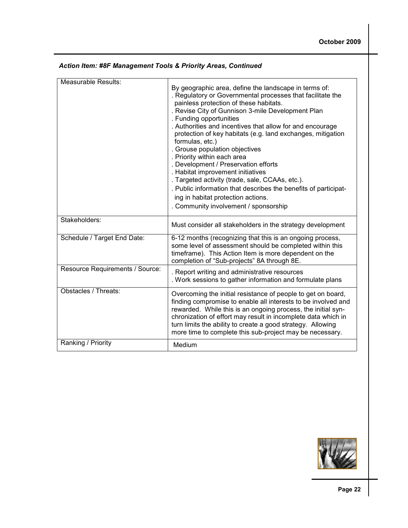| <b>Measurable Results:</b>      |                                                                                                                                                                                                                                                                                                                                                                                                                                                                                                                                                                                                                                                                                                                                                 |
|---------------------------------|-------------------------------------------------------------------------------------------------------------------------------------------------------------------------------------------------------------------------------------------------------------------------------------------------------------------------------------------------------------------------------------------------------------------------------------------------------------------------------------------------------------------------------------------------------------------------------------------------------------------------------------------------------------------------------------------------------------------------------------------------|
|                                 | By geographic area, define the landscape in terms of:<br>. Regulatory or Governmental processes that facilitate the<br>painless protection of these habitats.<br>. Revise City of Gunnison 3-mile Development Plan<br>. Funding opportunities<br>. Authorities and incentives that allow for and encourage<br>protection of key habitats (e.g. land exchanges, mitigation<br>formulas, etc.)<br>. Grouse population objectives<br>. Priority within each area<br>. Development / Preservation efforts<br>. Habitat improvement initiatives<br>. Targeted activity (trade, sale, CCAAs, etc.).<br>. Public information that describes the benefits of participat-<br>ing in habitat protection actions.<br>. Community involvement / sponsorship |
| Stakeholders:                   | Must consider all stakeholders in the strategy development                                                                                                                                                                                                                                                                                                                                                                                                                                                                                                                                                                                                                                                                                      |
| Schedule / Target End Date:     | 6-12 months (recognizing that this is an ongoing process,<br>some level of assessment should be completed within this<br>timeframe). This Action Item is more dependent on the<br>completion of "Sub-projects" 8A through 8E.                                                                                                                                                                                                                                                                                                                                                                                                                                                                                                                   |
| Resource Requirements / Source: | . Report writing and administrative resources<br>. Work sessions to gather information and formulate plans                                                                                                                                                                                                                                                                                                                                                                                                                                                                                                                                                                                                                                      |
| Obstacles / Threats:            | Overcoming the initial resistance of people to get on board,<br>finding compromise to enable all interests to be involved and<br>rewarded. While this is an ongoing process, the initial syn-<br>chronization of effort may result in incomplete data which in<br>turn limits the ability to create a good strategy. Allowing<br>more time to complete this sub-project may be necessary.                                                                                                                                                                                                                                                                                                                                                       |
| Ranking / Priority              | Medium                                                                                                                                                                                                                                                                                                                                                                                                                                                                                                                                                                                                                                                                                                                                          |

#### Action Item: #8F Management Tools & Priority Areas, Continued

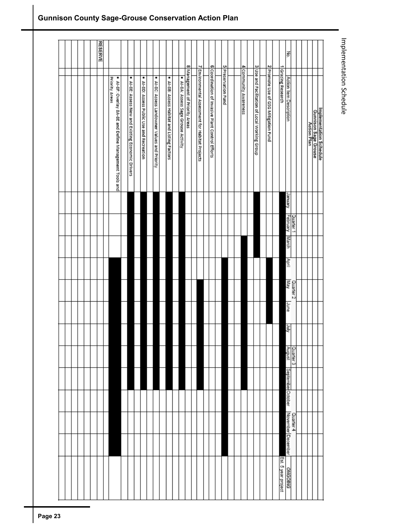|  |  |  | <b>RESERVE</b> |                                                                          |                                                   |                                              |                                               |                                             |                                      |                                |                                                 |                                                  |                     |  |                       |                                               |                                      |                     | Κò.                     |                      |  |                                                                |
|--|--|--|----------------|--------------------------------------------------------------------------|---------------------------------------------------|----------------------------------------------|-----------------------------------------------|---------------------------------------------|--------------------------------------|--------------------------------|-------------------------------------------------|--------------------------------------------------|---------------------|--|-----------------------|-----------------------------------------------|--------------------------------------|---------------------|-------------------------|----------------------|--|----------------------------------------------------------------|
|  |  |  |                | Priority Areas<br>. Al-8F: Overlay 8A-8E and Define Management Tools and | . Al-8E: Assess New and Existing Economic Drivers | ٠<br>Al-8D: Assess Public Use and Recreation | · Al-8C: Assess Landowner Values and Priority | . Al-8B: Assess Habitat and Listing Factors | · Al-8A: Assess Sage Grouse Activity | 8 Management of Priority Areas | 7 Environmental Assessment for Habitat Projects | 6 Coordination of Invasive Plant Control Efforts | 5 Preservation Fund |  | 4 Community Awareness | 3 Use and Facilitation of Local Working Group | 2 Promote Use of GSG Mitigation Fund | 1 Grazing Research  | Action Item Description |                      |  | Implementation Schedule<br>Gunnison Sage Grouse<br>Action Plan |
|  |  |  |                |                                                                          |                                                   |                                              |                                               |                                             |                                      |                                |                                                 |                                                  |                     |  |                       |                                               |                                      |                     | January                 |                      |  |                                                                |
|  |  |  |                |                                                                          |                                                   |                                              |                                               |                                             |                                      |                                |                                                 |                                                  |                     |  |                       |                                               |                                      |                     | February                | Quarter 1            |  |                                                                |
|  |  |  |                |                                                                          |                                                   |                                              |                                               |                                             |                                      |                                |                                                 |                                                  |                     |  |                       |                                               |                                      |                     | March                   |                      |  |                                                                |
|  |  |  |                |                                                                          |                                                   |                                              |                                               |                                             |                                      |                                |                                                 |                                                  |                     |  |                       |                                               |                                      |                     | April                   |                      |  |                                                                |
|  |  |  |                |                                                                          |                                                   |                                              |                                               |                                             |                                      |                                |                                                 |                                                  |                     |  |                       |                                               |                                      |                     | <b>May</b>              | Quarter <sub>2</sub> |  |                                                                |
|  |  |  |                |                                                                          |                                                   |                                              |                                               |                                             |                                      |                                |                                                 |                                                  |                     |  |                       |                                               |                                      |                     | aunr                    |                      |  |                                                                |
|  |  |  |                |                                                                          |                                                   |                                              |                                               |                                             |                                      |                                |                                                 |                                                  |                     |  |                       |                                               |                                      |                     | July                    |                      |  |                                                                |
|  |  |  |                |                                                                          |                                                   |                                              |                                               |                                             |                                      |                                |                                                 |                                                  |                     |  |                       |                                               |                                      |                     | August                  | Quarter 3            |  |                                                                |
|  |  |  |                |                                                                          |                                                   |                                              |                                               |                                             |                                      |                                |                                                 |                                                  |                     |  |                       |                                               |                                      |                     | September October       |                      |  |                                                                |
|  |  |  |                |                                                                          |                                                   |                                              |                                               |                                             |                                      |                                |                                                 |                                                  |                     |  |                       |                                               |                                      |                     |                         |                      |  |                                                                |
|  |  |  |                |                                                                          |                                                   |                                              |                                               |                                             |                                      |                                |                                                 |                                                  |                     |  |                       |                                               |                                      |                     | November December       | Quarter 4            |  |                                                                |
|  |  |  |                |                                                                          |                                                   |                                              |                                               |                                             |                                      |                                |                                                 |                                                  |                     |  |                       |                                               |                                      |                     |                         |                      |  |                                                                |
|  |  |  |                |                                                                          |                                                   |                                              |                                               |                                             |                                      |                                |                                                 |                                                  |                     |  |                       |                                               |                                      | Est. 5 year project | ONGOING                 |                      |  |                                                                |

# Implementation Schedule Implementation Schedule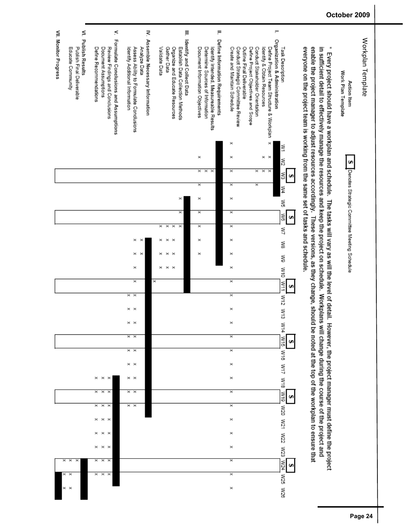

#### October 2009